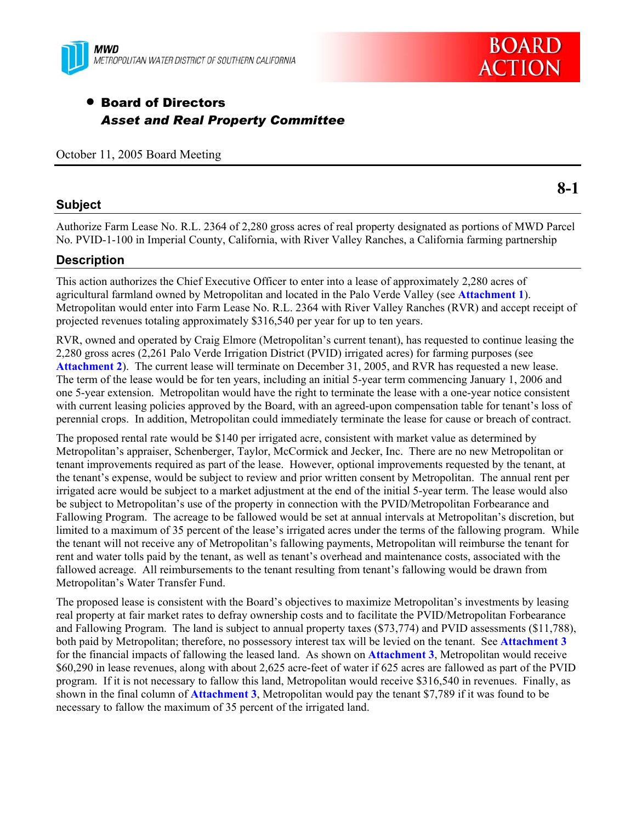

# • Board of Directors *Asset and Real Property Committee*

October 11, 2005 Board Meeting

### **Subject**

**8-1** 

**BOARD** 

**ACTION** 

Authorize Farm Lease No. R.L. 2364 of 2,280 gross acres of real property designated as portions of MWD Parcel No. PVID-1-100 in Imperial County, California, with River Valley Ranches, a California farming partnership

### **Description**

This action authorizes the Chief Executive Officer to enter into a lease of approximately 2,280 acres of agricultural farmland owned by Metropolitan and located in the Palo Verde Valley (see **Attachment 1**). Metropolitan would enter into Farm Lease No. R.L. 2364 with River Valley Ranches (RVR) and accept receipt of projected revenues totaling approximately \$316,540 per year for up to ten years.

RVR, owned and operated by Craig Elmore (Metropolitan's current tenant), has requested to continue leasing the 2,280 gross acres (2,261 Palo Verde Irrigation District (PVID) irrigated acres) for farming purposes (see **Attachment 2**). The current lease will terminate on December 31, 2005, and RVR has requested a new lease. The term of the lease would be for ten years, including an initial 5-year term commencing January 1, 2006 and one 5-year extension. Metropolitan would have the right to terminate the lease with a one-year notice consistent with current leasing policies approved by the Board, with an agreed-upon compensation table for tenant's loss of perennial crops. In addition, Metropolitan could immediately terminate the lease for cause or breach of contract.

The proposed rental rate would be \$140 per irrigated acre, consistent with market value as determined by Metropolitan's appraiser, Schenberger, Taylor, McCormick and Jecker, Inc. There are no new Metropolitan or tenant improvements required as part of the lease. However, optional improvements requested by the tenant, at the tenant's expense, would be subject to review and prior written consent by Metropolitan. The annual rent per irrigated acre would be subject to a market adjustment at the end of the initial 5-year term. The lease would also be subject to Metropolitan's use of the property in connection with the PVID/Metropolitan Forbearance and Fallowing Program. The acreage to be fallowed would be set at annual intervals at Metropolitan's discretion, but limited to a maximum of 35 percent of the lease's irrigated acres under the terms of the fallowing program. While the tenant will not receive any of Metropolitan's fallowing payments, Metropolitan will reimburse the tenant for rent and water tolls paid by the tenant, as well as tenant's overhead and maintenance costs, associated with the fallowed acreage. All reimbursements to the tenant resulting from tenant's fallowing would be drawn from Metropolitan's Water Transfer Fund.

The proposed lease is consistent with the Board's objectives to maximize Metropolitan's investments by leasing real property at fair market rates to defray ownership costs and to facilitate the PVID/Metropolitan Forbearance and Fallowing Program. The land is subject to annual property taxes (\$73,774) and PVID assessments (\$11,788), both paid by Metropolitan; therefore, no possessory interest tax will be levied on the tenant. See **Attachment 3** for the financial impacts of fallowing the leased land. As shown on **Attachment 3**, Metropolitan would receive \$60,290 in lease revenues, along with about 2,625 acre-feet of water if 625 acres are fallowed as part of the PVID program. If it is not necessary to fallow this land, Metropolitan would receive \$316,540 in revenues. Finally, as shown in the final column of **Attachment 3**, Metropolitan would pay the tenant \$7,789 if it was found to be necessary to fallow the maximum of 35 percent of the irrigated land.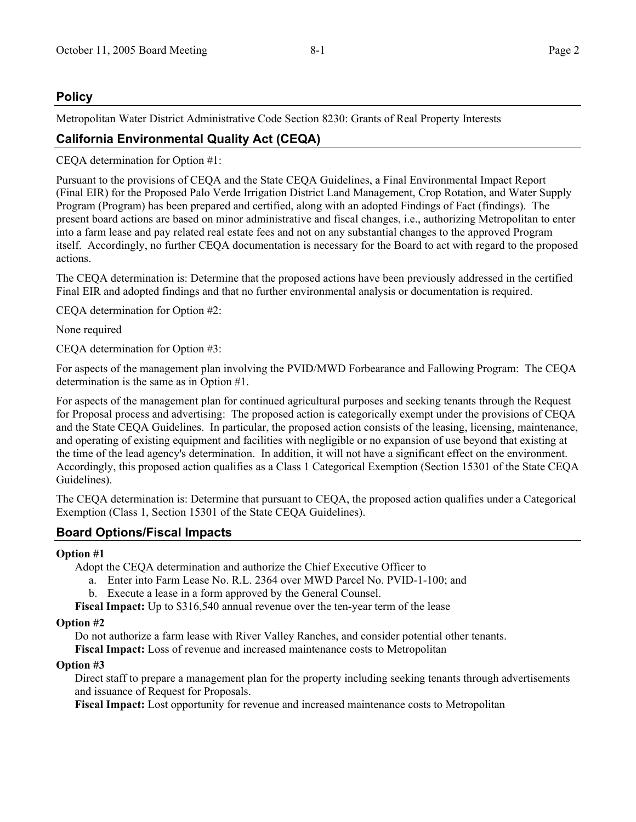# **Policy**

Metropolitan Water District Administrative Code Section 8230: Grants of Real Property Interests

# **California Environmental Quality Act (CEQA)**

CEQA determination for Option #1:

Pursuant to the provisions of CEQA and the State CEQA Guidelines, a Final Environmental Impact Report (Final EIR) for the Proposed Palo Verde Irrigation District Land Management, Crop Rotation, and Water Supply Program (Program) has been prepared and certified, along with an adopted Findings of Fact (findings). The present board actions are based on minor administrative and fiscal changes, i.e., authorizing Metropolitan to enter into a farm lease and pay related real estate fees and not on any substantial changes to the approved Program itself. Accordingly, no further CEQA documentation is necessary for the Board to act with regard to the proposed actions.

The CEQA determination is: Determine that the proposed actions have been previously addressed in the certified Final EIR and adopted findings and that no further environmental analysis or documentation is required.

CEQA determination for Option #2:

None required

CEQA determination for Option #3:

For aspects of the management plan involving the PVID/MWD Forbearance and Fallowing Program: The CEQA determination is the same as in Option #1.

For aspects of the management plan for continued agricultural purposes and seeking tenants through the Request for Proposal process and advertising: The proposed action is categorically exempt under the provisions of CEQA and the State CEQA Guidelines. In particular, the proposed action consists of the leasing, licensing, maintenance, and operating of existing equipment and facilities with negligible or no expansion of use beyond that existing at the time of the lead agency's determination. In addition, it will not have a significant effect on the environment. Accordingly, this proposed action qualifies as a Class 1 Categorical Exemption (Section 15301 of the State CEQA Guidelines).

The CEQA determination is: Determine that pursuant to CEQA, the proposed action qualifies under a Categorical Exemption (Class 1, Section 15301 of the State CEQA Guidelines).

# **Board Options/Fiscal Impacts**

#### **Option #1**

Adopt the CEQA determination and authorize the Chief Executive Officer to

- a. Enter into Farm Lease No. R.L. 2364 over MWD Parcel No. PVID-1-100; and
- b. Execute a lease in a form approved by the General Counsel.

**Fiscal Impact:** Up to \$316,540 annual revenue over the ten-year term of the lease

#### **Option #2**

Do not authorize a farm lease with River Valley Ranches, and consider potential other tenants.

**Fiscal Impact:** Loss of revenue and increased maintenance costs to Metropolitan

### **Option #3**

Direct staff to prepare a management plan for the property including seeking tenants through advertisements and issuance of Request for Proposals.

**Fiscal Impact:** Lost opportunity for revenue and increased maintenance costs to Metropolitan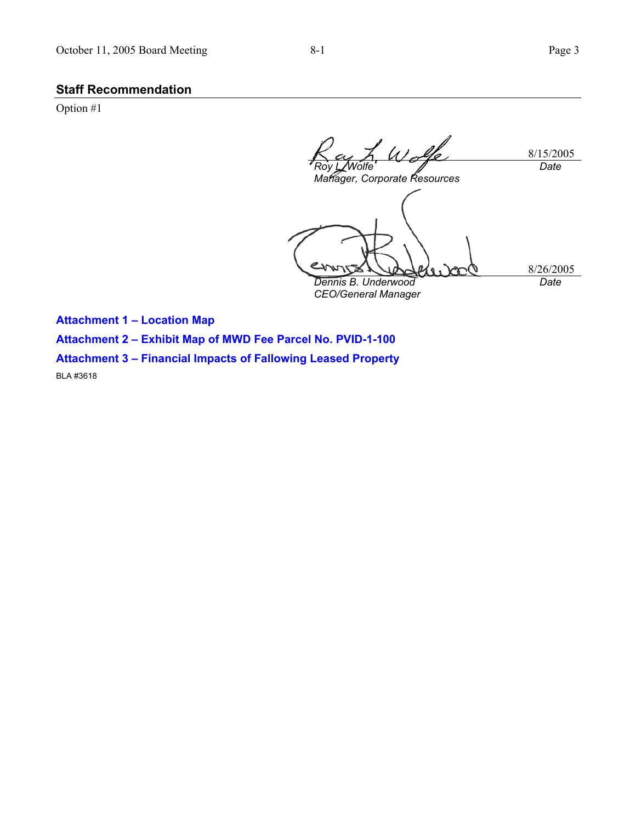# **Staff Recommendation**

Option #1

 $U$  . 8/15/2005 *Date Roy L. Wolfe Manager, Corporate Resources*  8/26/2005 *Dennis B. Underwood Date CEO/General Manager* 

**Attachment 1 – Location Map** 

**Attachment 2 – Exhibit Map of MWD Fee Parcel No. PVID-1-100** 

**Attachment 3 – Financial Impacts of Fallowing Leased Property** 

BLA #3618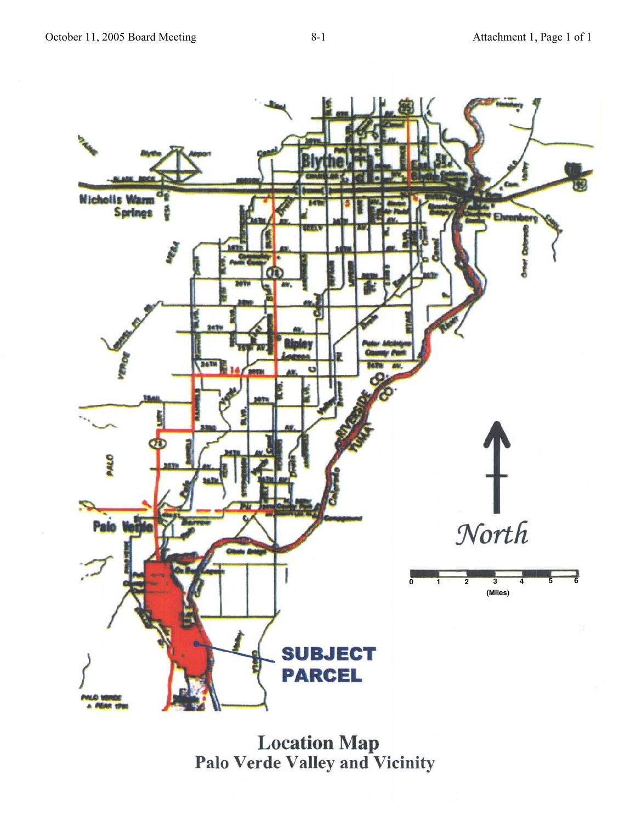

Location Map<br>Palo Verde Valley and Vicinity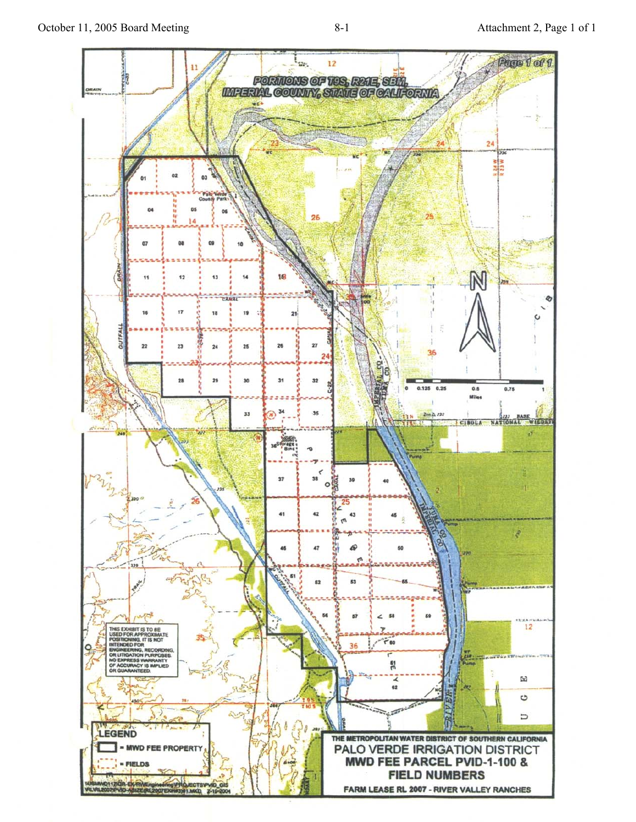